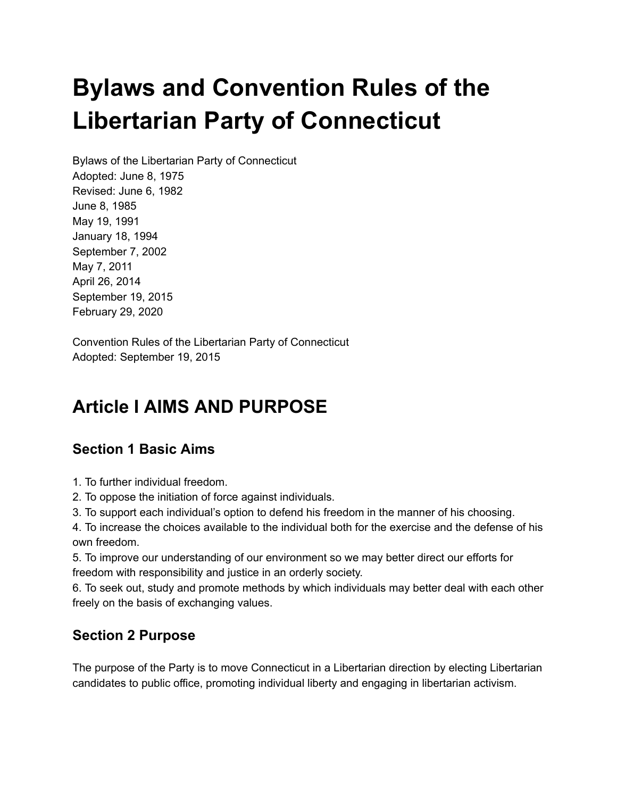# **Bylaws and Convention Rules of the Libertarian Party of Connecticut**

Bylaws of the Libertarian Party of Connecticut Adopted: June 8, 1975 Revised: June 6, 1982 June 8, 1985 May 19, 1991 January 18, 1994 September 7, 2002 May 7, 2011 April 26, 2014 September 19, 2015 February 29, 2020

Convention Rules of the Libertarian Party of Connecticut Adopted: September 19, 2015

# **Article I AIMS AND PURPOSE**

#### **Section 1 Basic Aims**

1. To further individual freedom.

2. To oppose the initiation of force against individuals.

3. To support each individual's option to defend his freedom in the manner of his choosing.

4. To increase the choices available to the individual both for the exercise and the defense of his own freedom.

5. To improve our understanding of our environment so we may better direct our efforts for freedom with responsibility and justice in an orderly society.

6. To seek out, study and promote methods by which individuals may better deal with each other freely on the basis of exchanging values.

#### **Section 2 Purpose**

The purpose of the Party is to move Connecticut in a Libertarian direction by electing Libertarian candidates to public office, promoting individual liberty and engaging in libertarian activism.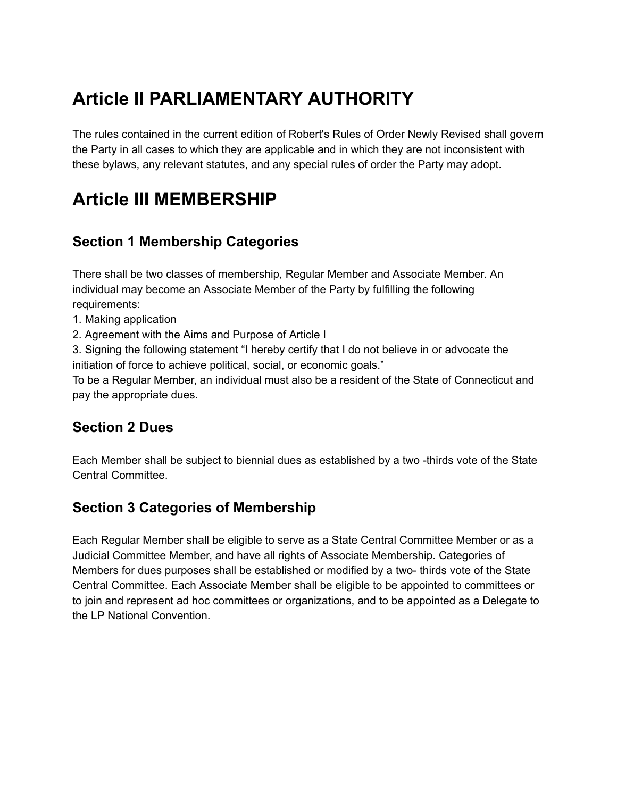# **Article II PARLIAMENTARY AUTHORITY**

The rules contained in the current edition of Robert's Rules of Order Newly Revised shall govern the Party in all cases to which they are applicable and in which they are not inconsistent with these bylaws, any relevant statutes, and any special rules of order the Party may adopt.

## **Article III MEMBERSHIP**

### **Section 1 Membership Categories**

There shall be two classes of membership, Regular Member and Associate Member. An individual may become an Associate Member of the Party by fulfilling the following requirements:

- 1. Making application
- 2. Agreement with the Aims and Purpose of Article I

3. Signing the following statement "I hereby certify that I do not believe in or advocate the initiation of force to achieve political, social, or economic goals."

To be a Regular Member, an individual must also be a resident of the State of Connecticut and pay the appropriate dues.

#### **Section 2 Dues**

Each Member shall be subject to biennial dues as established by a two -thirds vote of the State Central Committee.

#### **Section 3 Categories of Membership**

Each Regular Member shall be eligible to serve as a State Central Committee Member or as a Judicial Committee Member, and have all rights of Associate Membership. Categories of Members for dues purposes shall be established or modified by a two- thirds vote of the State Central Committee. Each Associate Member shall be eligible to be appointed to committees or to join and represent ad hoc committees or organizations, and to be appointed as a Delegate to the LP National Convention.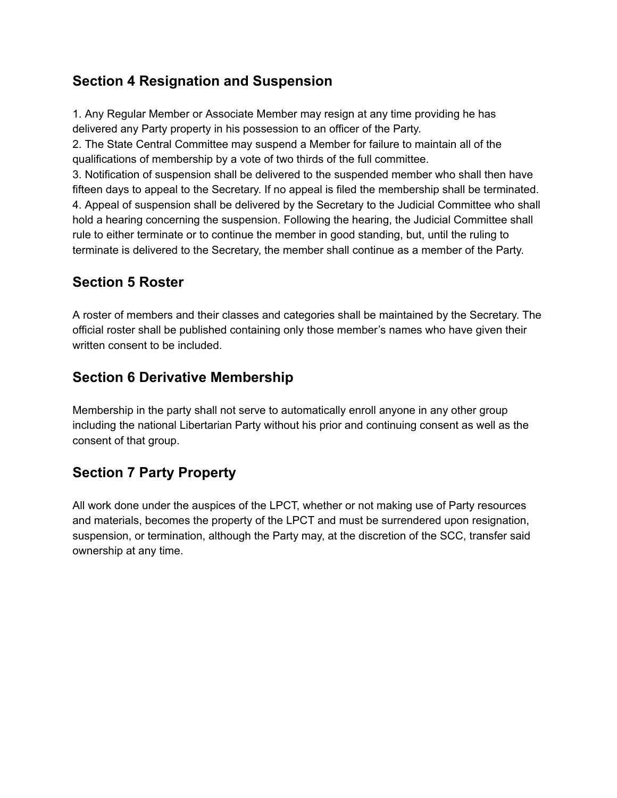#### **Section 4 Resignation and Suspension**

1. Any Regular Member or Associate Member may resign at any time providing he has delivered any Party property in his possession to an officer of the Party.

2. The State Central Committee may suspend a Member for failure to maintain all of the qualifications of membership by a vote of two thirds of the full committee.

3. Notification of suspension shall be delivered to the suspended member who shall then have fifteen days to appeal to the Secretary. If no appeal is filed the membership shall be terminated. 4. Appeal of suspension shall be delivered by the Secretary to the Judicial Committee who shall hold a hearing concerning the suspension. Following the hearing, the Judicial Committee shall rule to either terminate or to continue the member in good standing, but, until the ruling to terminate is delivered to the Secretary, the member shall continue as a member of the Party.

### **Section 5 Roster**

A roster of members and their classes and categories shall be maintained by the Secretary. The official roster shall be published containing only those member's names who have given their written consent to be included.

#### **Section 6 Derivative Membership**

Membership in the party shall not serve to automatically enroll anyone in any other group including the national Libertarian Party without his prior and continuing consent as well as the consent of that group.

### **Section 7 Party Property**

All work done under the auspices of the LPCT, whether or not making use of Party resources and materials, becomes the property of the LPCT and must be surrendered upon resignation, suspension, or termination, although the Party may, at the discretion of the SCC, transfer said ownership at any time.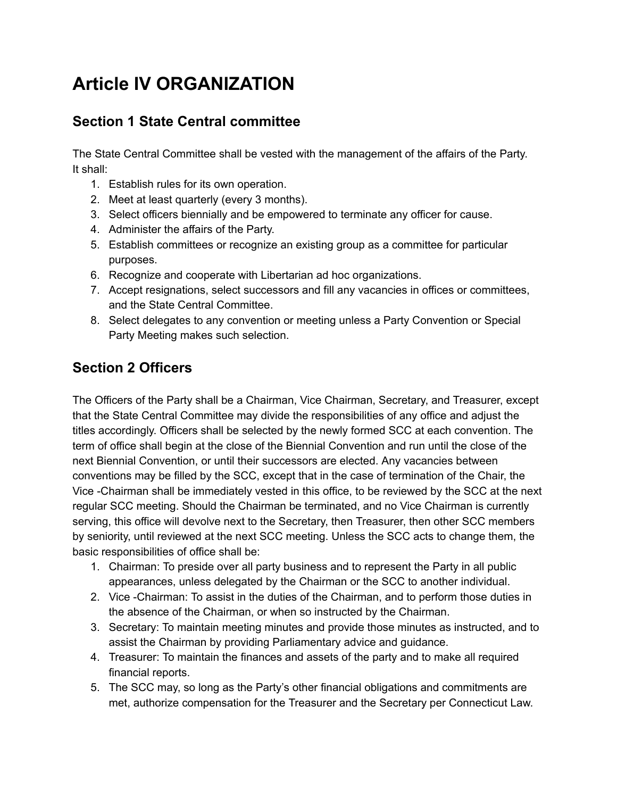# **Article IV ORGANIZATION**

### **Section 1 State Central committee**

The State Central Committee shall be vested with the management of the affairs of the Party. It shall:

- 1. Establish rules for its own operation.
- 2. Meet at least quarterly (every 3 months).
- 3. Select officers biennially and be empowered to terminate any officer for cause.
- 4. Administer the affairs of the Party.
- 5. Establish committees or recognize an existing group as a committee for particular purposes.
- 6. Recognize and cooperate with Libertarian ad hoc organizations.
- 7. Accept resignations, select successors and fill any vacancies in offices or committees, and the State Central Committee.
- 8. Select delegates to any convention or meeting unless a Party Convention or Special Party Meeting makes such selection.

### **Section 2 Officers**

The Officers of the Party shall be a Chairman, Vice Chairman, Secretary, and Treasurer, except that the State Central Committee may divide the responsibilities of any office and adjust the titles accordingly. Officers shall be selected by the newly formed SCC at each convention. The term of office shall begin at the close of the Biennial Convention and run until the close of the next Biennial Convention, or until their successors are elected. Any vacancies between conventions may be filled by the SCC, except that in the case of termination of the Chair, the Vice -Chairman shall be immediately vested in this office, to be reviewed by the SCC at the next regular SCC meeting. Should the Chairman be terminated, and no Vice Chairman is currently serving, this office will devolve next to the Secretary, then Treasurer, then other SCC members by seniority, until reviewed at the next SCC meeting. Unless the SCC acts to change them, the basic responsibilities of office shall be:

- 1. Chairman: To preside over all party business and to represent the Party in all public appearances, unless delegated by the Chairman or the SCC to another individual.
- 2. Vice -Chairman: To assist in the duties of the Chairman, and to perform those duties in the absence of the Chairman, or when so instructed by the Chairman.
- 3. Secretary: To maintain meeting minutes and provide those minutes as instructed, and to assist the Chairman by providing Parliamentary advice and guidance.
- 4. Treasurer: To maintain the finances and assets of the party and to make all required financial reports.
- 5. The SCC may, so long as the Party's other financial obligations and commitments are met, authorize compensation for the Treasurer and the Secretary per Connecticut Law.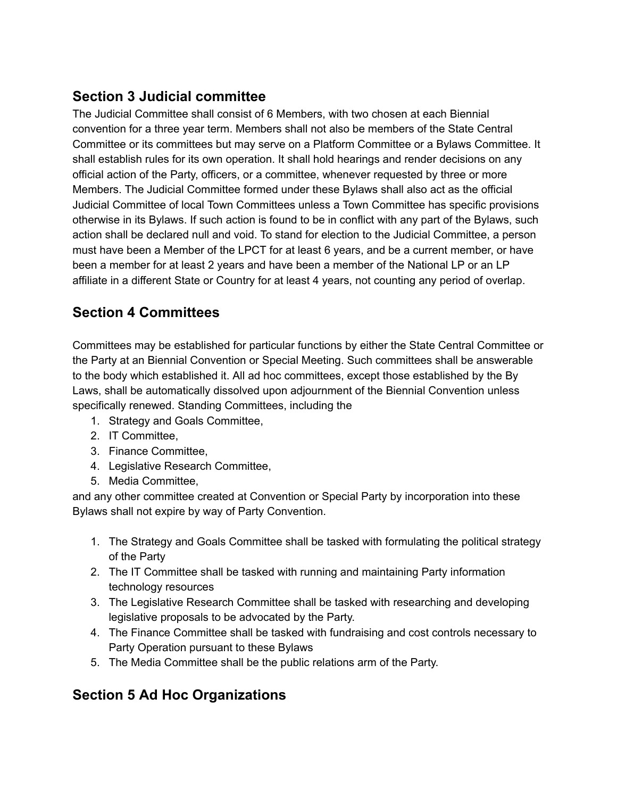### **Section 3 Judicial committee**

The Judicial Committee shall consist of 6 Members, with two chosen at each Biennial convention for a three year term. Members shall not also be members of the State Central Committee or its committees but may serve on a Platform Committee or a Bylaws Committee. It shall establish rules for its own operation. It shall hold hearings and render decisions on any official action of the Party, officers, or a committee, whenever requested by three or more Members. The Judicial Committee formed under these Bylaws shall also act as the official Judicial Committee of local Town Committees unless a Town Committee has specific provisions otherwise in its Bylaws. If such action is found to be in conflict with any part of the Bylaws, such action shall be declared null and void. To stand for election to the Judicial Committee, a person must have been a Member of the LPCT for at least 6 years, and be a current member, or have been a member for at least 2 years and have been a member of the National LP or an LP affiliate in a different State or Country for at least 4 years, not counting any period of overlap.

### **Section 4 Committees**

Committees may be established for particular functions by either the State Central Committee or the Party at an Biennial Convention or Special Meeting. Such committees shall be answerable to the body which established it. All ad hoc committees, except those established by the By Laws, shall be automatically dissolved upon adjournment of the Biennial Convention unless specifically renewed. Standing Committees, including the

- 1. Strategy and Goals Committee,
- 2. IT Committee,
- 3. Finance Committee,
- 4. Legislative Research Committee,
- 5. Media Committee,

and any other committee created at Convention or Special Party by incorporation into these Bylaws shall not expire by way of Party Convention.

- 1. The Strategy and Goals Committee shall be tasked with formulating the political strategy of the Party
- 2. The IT Committee shall be tasked with running and maintaining Party information technology resources
- 3. The Legislative Research Committee shall be tasked with researching and developing legislative proposals to be advocated by the Party.
- 4. The Finance Committee shall be tasked with fundraising and cost controls necessary to Party Operation pursuant to these Bylaws
- 5. The Media Committee shall be the public relations arm of the Party.

### **Section 5 Ad Hoc Organizations**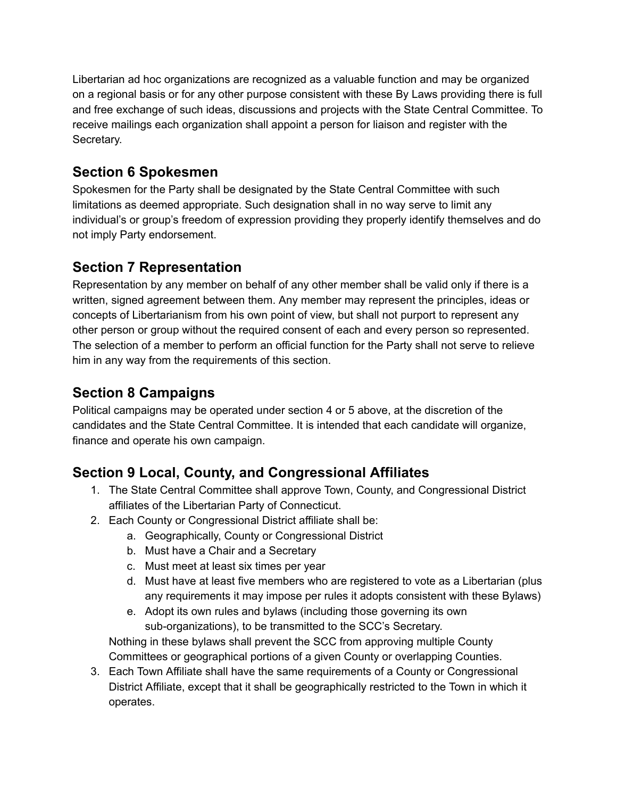Libertarian ad hoc organizations are recognized as a valuable function and may be organized on a regional basis or for any other purpose consistent with these By Laws providing there is full and free exchange of such ideas, discussions and projects with the State Central Committee. To receive mailings each organization shall appoint a person for liaison and register with the Secretary.

#### **Section 6 Spokesmen**

Spokesmen for the Party shall be designated by the State Central Committee with such limitations as deemed appropriate. Such designation shall in no way serve to limit any individual's or group's freedom of expression providing they properly identify themselves and do not imply Party endorsement.

#### **Section 7 Representation**

Representation by any member on behalf of any other member shall be valid only if there is a written, signed agreement between them. Any member may represent the principles, ideas or concepts of Libertarianism from his own point of view, but shall not purport to represent any other person or group without the required consent of each and every person so represented. The selection of a member to perform an official function for the Party shall not serve to relieve him in any way from the requirements of this section.

### **Section 8 Campaigns**

Political campaigns may be operated under section 4 or 5 above, at the discretion of the candidates and the State Central Committee. It is intended that each candidate will organize, finance and operate his own campaign.

### **Section 9 Local, County, and Congressional Affiliates**

- 1. The State Central Committee shall approve Town, County, and Congressional District affiliates of the Libertarian Party of Connecticut.
- 2. Each County or Congressional District affiliate shall be:
	- a. Geographically, County or Congressional District
	- b. Must have a Chair and a Secretary
	- c. Must meet at least six times per year
	- d. Must have at least five members who are registered to vote as a Libertarian (plus any requirements it may impose per rules it adopts consistent with these Bylaws)
	- e. Adopt its own rules and bylaws (including those governing its own sub-organizations), to be transmitted to the SCC's Secretary.

Nothing in these bylaws shall prevent the SCC from approving multiple County Committees or geographical portions of a given County or overlapping Counties.

3. Each Town Affiliate shall have the same requirements of a County or Congressional District Affiliate, except that it shall be geographically restricted to the Town in which it operates.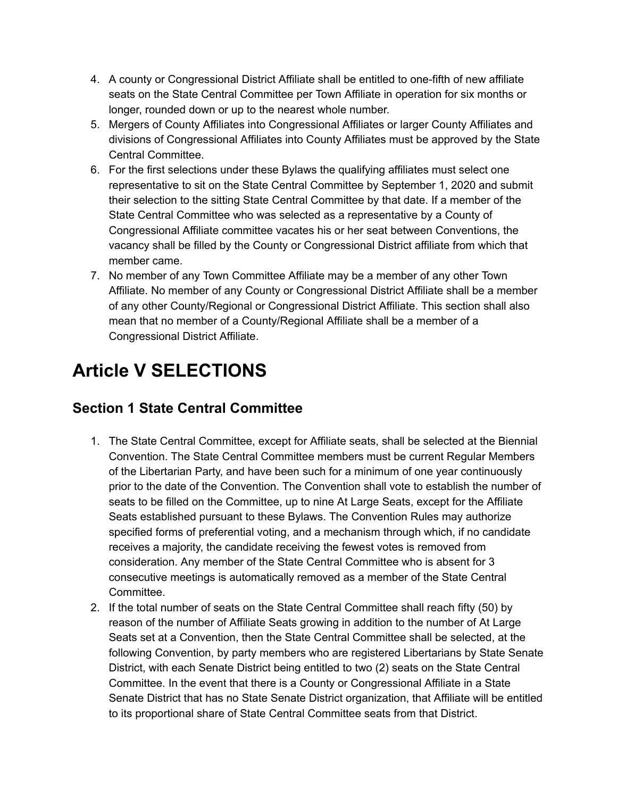- 4. A county or Congressional District Affiliate shall be entitled to one-fifth of new affiliate seats on the State Central Committee per Town Affiliate in operation for six months or longer, rounded down or up to the nearest whole number.
- 5. Mergers of County Affiliates into Congressional Affiliates or larger County Affiliates and divisions of Congressional Affiliates into County Affiliates must be approved by the State Central Committee.
- 6. For the first selections under these Bylaws the qualifying affiliates must select one representative to sit on the State Central Committee by September 1, 2020 and submit their selection to the sitting State Central Committee by that date. If a member of the State Central Committee who was selected as a representative by a County of Congressional Affiliate committee vacates his or her seat between Conventions, the vacancy shall be filled by the County or Congressional District affiliate from which that member came.
- 7. No member of any Town Committee Affiliate may be a member of any other Town Affiliate. No member of any County or Congressional District Affiliate shall be a member of any other County/Regional or Congressional District Affiliate. This section shall also mean that no member of a County/Regional Affiliate shall be a member of a Congressional District Affiliate.

# **Article V SELECTIONS**

### **Section 1 State Central Committee**

- 1. The State Central Committee, except for Affiliate seats, shall be selected at the Biennial Convention. The State Central Committee members must be current Regular Members of the Libertarian Party, and have been such for a minimum of one year continuously prior to the date of the Convention. The Convention shall vote to establish the number of seats to be filled on the Committee, up to nine At Large Seats, except for the Affiliate Seats established pursuant to these Bylaws. The Convention Rules may authorize specified forms of preferential voting, and a mechanism through which, if no candidate receives a majority, the candidate receiving the fewest votes is removed from consideration. Any member of the State Central Committee who is absent for 3 consecutive meetings is automatically removed as a member of the State Central Committee.
- 2. If the total number of seats on the State Central Committee shall reach fifty (50) by reason of the number of Affiliate Seats growing in addition to the number of At Large Seats set at a Convention, then the State Central Committee shall be selected, at the following Convention, by party members who are registered Libertarians by State Senate District, with each Senate District being entitled to two (2) seats on the State Central Committee. In the event that there is a County or Congressional Affiliate in a State Senate District that has no State Senate District organization, that Affiliate will be entitled to its proportional share of State Central Committee seats from that District.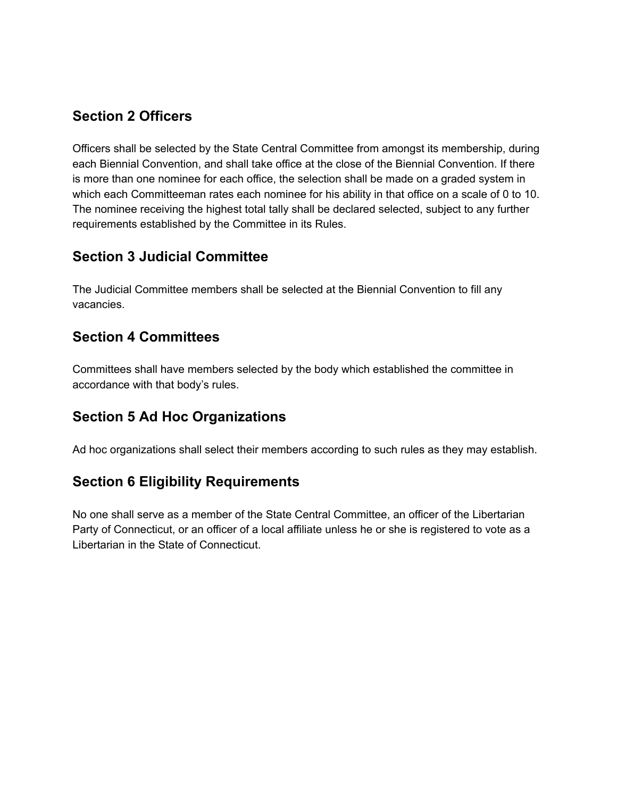#### **Section 2 Officers**

Officers shall be selected by the State Central Committee from amongst its membership, during each Biennial Convention, and shall take office at the close of the Biennial Convention. If there is more than one nominee for each office, the selection shall be made on a graded system in which each Committeeman rates each nominee for his ability in that office on a scale of 0 to 10. The nominee receiving the highest total tally shall be declared selected, subject to any further requirements established by the Committee in its Rules.

#### **Section 3 Judicial Committee**

The Judicial Committee members shall be selected at the Biennial Convention to fill any vacancies.

#### **Section 4 Committees**

Committees shall have members selected by the body which established the committee in accordance with that body's rules.

#### **Section 5 Ad Hoc Organizations**

Ad hoc organizations shall select their members according to such rules as they may establish.

#### **Section 6 Eligibility Requirements**

No one shall serve as a member of the State Central Committee, an officer of the Libertarian Party of Connecticut, or an officer of a local affiliate unless he or she is registered to vote as a Libertarian in the State of Connecticut.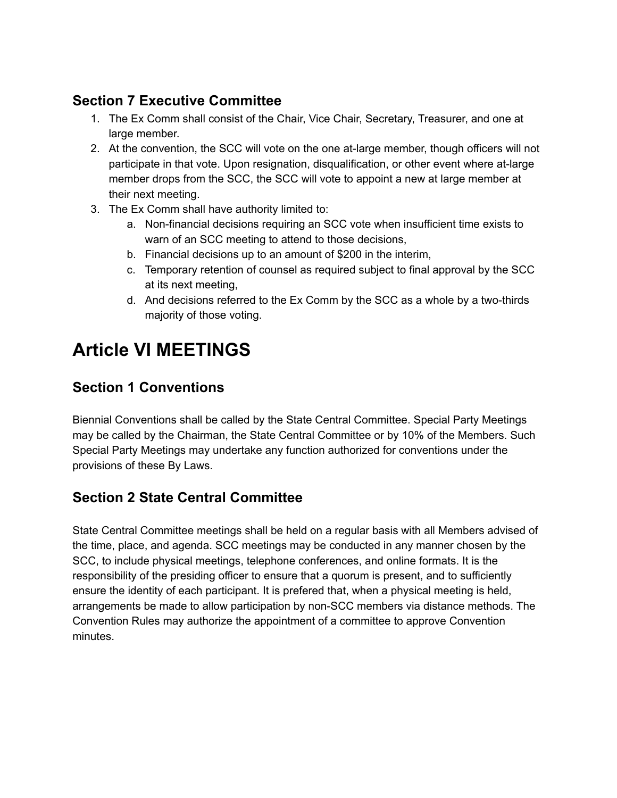#### **Section 7 Executive Committee**

- 1. The Ex Comm shall consist of the Chair, Vice Chair, Secretary, Treasurer, and one at large member.
- 2. At the convention, the SCC will vote on the one at-large member, though officers will not participate in that vote. Upon resignation, disqualification, or other event where at-large member drops from the SCC, the SCC will vote to appoint a new at large member at their next meeting.
- 3. The Ex Comm shall have authority limited to:
	- a. Non-financial decisions requiring an SCC vote when insufficient time exists to warn of an SCC meeting to attend to those decisions,
	- b. Financial decisions up to an amount of \$200 in the interim,
	- c. Temporary retention of counsel as required subject to final approval by the SCC at its next meeting,
	- d. And decisions referred to the Ex Comm by the SCC as a whole by a two-thirds majority of those voting.

# **Article VI MEETINGS**

### **Section 1 Conventions**

Biennial Conventions shall be called by the State Central Committee. Special Party Meetings may be called by the Chairman, the State Central Committee or by 10% of the Members. Such Special Party Meetings may undertake any function authorized for conventions under the provisions of these By Laws.

### **Section 2 State Central Committee**

State Central Committee meetings shall be held on a regular basis with all Members advised of the time, place, and agenda. SCC meetings may be conducted in any manner chosen by the SCC, to include physical meetings, telephone conferences, and online formats. It is the responsibility of the presiding officer to ensure that a quorum is present, and to sufficiently ensure the identity of each participant. It is prefered that, when a physical meeting is held, arrangements be made to allow participation by non-SCC members via distance methods. The Convention Rules may authorize the appointment of a committee to approve Convention minutes.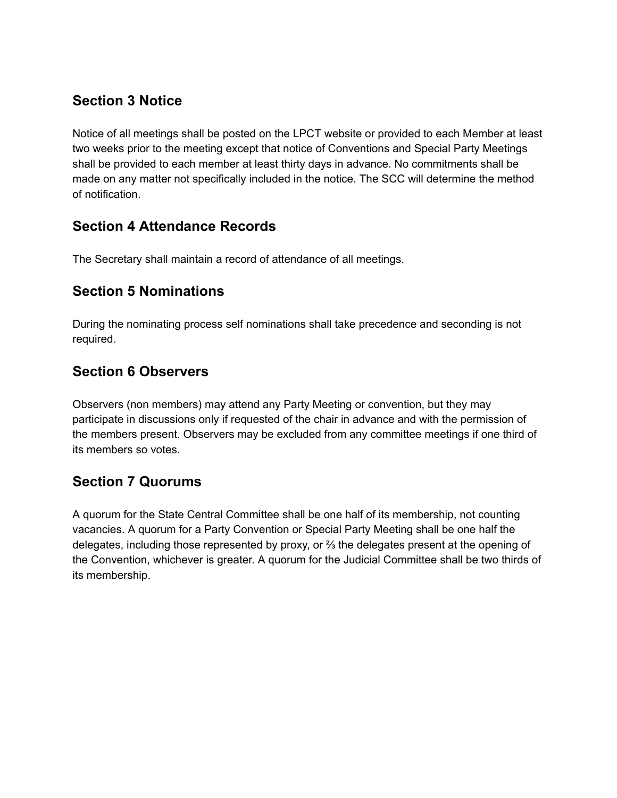#### **Section 3 Notice**

Notice of all meetings shall be posted on the LPCT website or provided to each Member at least two weeks prior to the meeting except that notice of Conventions and Special Party Meetings shall be provided to each member at least thirty days in advance. No commitments shall be made on any matter not specifically included in the notice. The SCC will determine the method of notification.

#### **Section 4 Attendance Records**

The Secretary shall maintain a record of attendance of all meetings.

#### **Section 5 Nominations**

During the nominating process self nominations shall take precedence and seconding is not required.

#### **Section 6 Observers**

Observers (non members) may attend any Party Meeting or convention, but they may participate in discussions only if requested of the chair in advance and with the permission of the members present. Observers may be excluded from any committee meetings if one third of its members so votes.

#### **Section 7 Quorums**

A quorum for the State Central Committee shall be one half of its membership, not counting vacancies. A quorum for a Party Convention or Special Party Meeting shall be one half the delegates, including those represented by proxy, or  $\frac{2}{3}$  the delegates present at the opening of the Convention, whichever is greater. A quorum for the Judicial Committee shall be two thirds of its membership.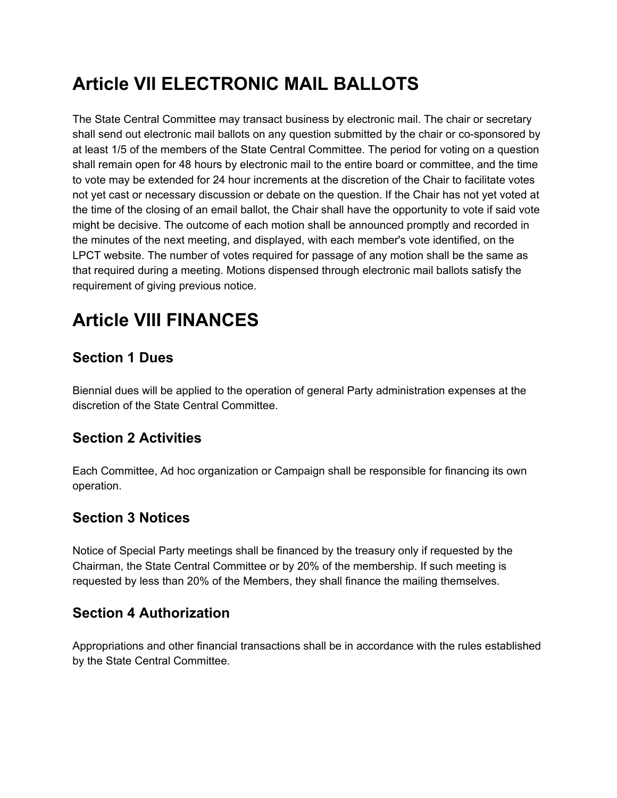# **Article VII ELECTRONIC MAIL BALLOTS**

The State Central Committee may transact business by electronic mail. The chair or secretary shall send out electronic mail ballots on any question submitted by the chair or co-sponsored by at least 1/5 of the members of the State Central Committee. The period for voting on a question shall remain open for 48 hours by electronic mail to the entire board or committee, and the time to vote may be extended for 24 hour increments at the discretion of the Chair to facilitate votes not yet cast or necessary discussion or debate on the question. If the Chair has not yet voted at the time of the closing of an email ballot, the Chair shall have the opportunity to vote if said vote might be decisive. The outcome of each motion shall be announced promptly and recorded in the minutes of the next meeting, and displayed, with each member's vote identified, on the LPCT website. The number of votes required for passage of any motion shall be the same as that required during a meeting. Motions dispensed through electronic mail ballots satisfy the requirement of giving previous notice.

# **Article VIII FINANCES**

#### **Section 1 Dues**

Biennial dues will be applied to the operation of general Party administration expenses at the discretion of the State Central Committee.

#### **Section 2 Activities**

Each Committee, Ad hoc organization or Campaign shall be responsible for financing its own operation.

#### **Section 3 Notices**

Notice of Special Party meetings shall be financed by the treasury only if requested by the Chairman, the State Central Committee or by 20% of the membership. If such meeting is requested by less than 20% of the Members, they shall finance the mailing themselves.

#### **Section 4 Authorization**

Appropriations and other financial transactions shall be in accordance with the rules established by the State Central Committee.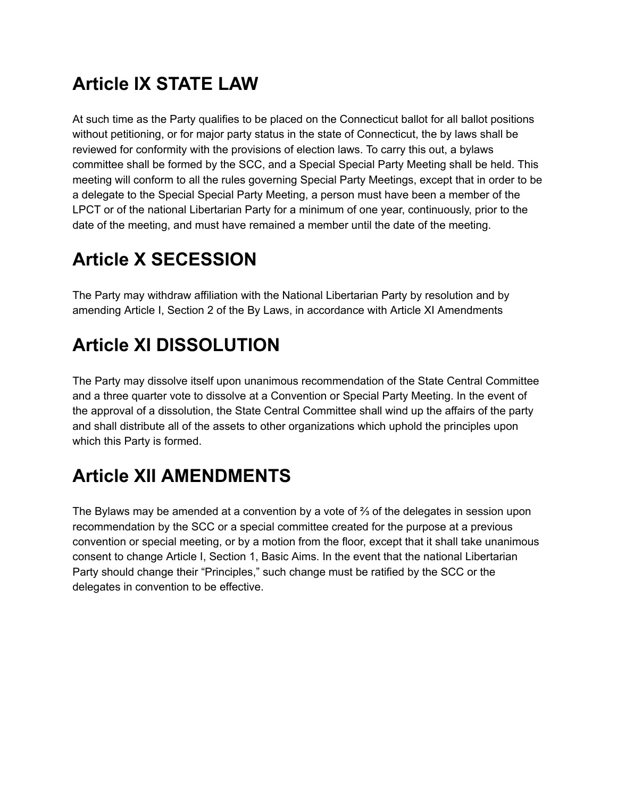# **Article IX STATE LAW**

At such time as the Party qualifies to be placed on the Connecticut ballot for all ballot positions without petitioning, or for major party status in the state of Connecticut, the by laws shall be reviewed for conformity with the provisions of election laws. To carry this out, a bylaws committee shall be formed by the SCC, and a Special Special Party Meeting shall be held. This meeting will conform to all the rules governing Special Party Meetings, except that in order to be a delegate to the Special Special Party Meeting, a person must have been a member of the LPCT or of the national Libertarian Party for a minimum of one year, continuously, prior to the date of the meeting, and must have remained a member until the date of the meeting.

# **Article X SECESSION**

The Party may withdraw affiliation with the National Libertarian Party by resolution and by amending Article I, Section 2 of the By Laws, in accordance with Article XI Amendments

# **Article XI DISSOLUTION**

The Party may dissolve itself upon unanimous recommendation of the State Central Committee and a three quarter vote to dissolve at a Convention or Special Party Meeting. In the event of the approval of a dissolution, the State Central Committee shall wind up the affairs of the party and shall distribute all of the assets to other organizations which uphold the principles upon which this Party is formed.

# **Article XII AMENDMENTS**

The Bylaws may be amended at a convention by a vote of  $\frac{2}{3}$  of the delegates in session upon recommendation by the SCC or a special committee created for the purpose at a previous convention or special meeting, or by a motion from the floor, except that it shall take unanimous consent to change Article I, Section 1, Basic Aims. In the event that the national Libertarian Party should change their "Principles," such change must be ratified by the SCC or the delegates in convention to be effective.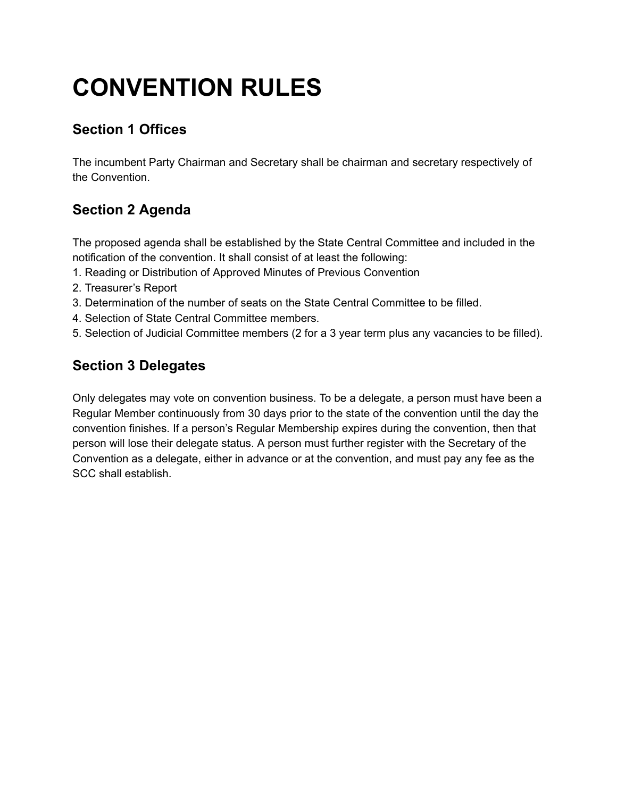# **CONVENTION RULES**

### **Section 1 Offices**

The incumbent Party Chairman and Secretary shall be chairman and secretary respectively of the Convention.

### **Section 2 Agenda**

The proposed agenda shall be established by the State Central Committee and included in the notification of the convention. It shall consist of at least the following:

- 1. Reading or Distribution of Approved Minutes of Previous Convention
- 2. Treasurer's Report
- 3. Determination of the number of seats on the State Central Committee to be filled.
- 4. Selection of State Central Committee members.
- 5. Selection of Judicial Committee members (2 for a 3 year term plus any vacancies to be filled).

### **Section 3 Delegates**

Only delegates may vote on convention business. To be a delegate, a person must have been a Regular Member continuously from 30 days prior to the state of the convention until the day the convention finishes. If a person's Regular Membership expires during the convention, then that person will lose their delegate status. A person must further register with the Secretary of the Convention as a delegate, either in advance or at the convention, and must pay any fee as the SCC shall establish.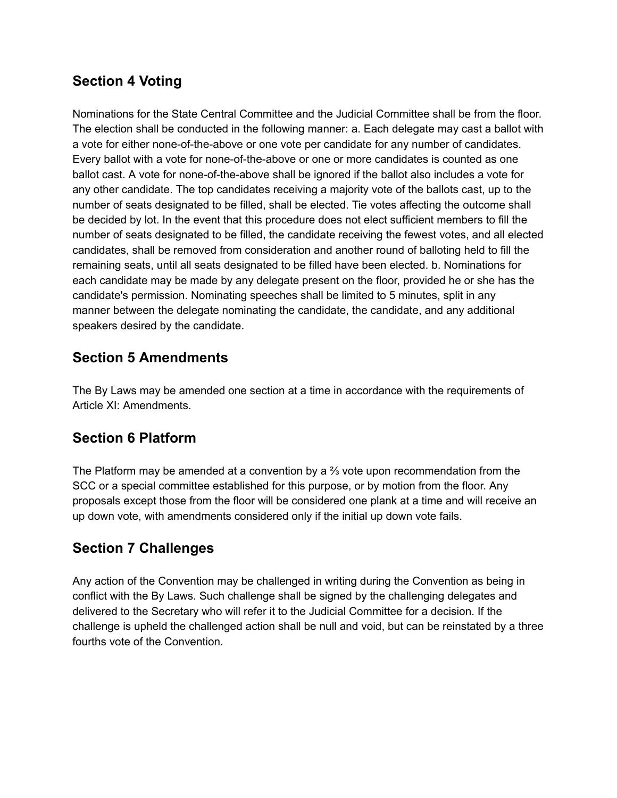#### **Section 4 Voting**

Nominations for the State Central Committee and the Judicial Committee shall be from the floor. The election shall be conducted in the following manner: a. Each delegate may cast a ballot with a vote for either none-of-the-above or one vote per candidate for any number of candidates. Every ballot with a vote for none-of-the-above or one or more candidates is counted as one ballot cast. A vote for none-of-the-above shall be ignored if the ballot also includes a vote for any other candidate. The top candidates receiving a majority vote of the ballots cast, up to the number of seats designated to be filled, shall be elected. Tie votes affecting the outcome shall be decided by lot. In the event that this procedure does not elect sufficient members to fill the number of seats designated to be filled, the candidate receiving the fewest votes, and all elected candidates, shall be removed from consideration and another round of balloting held to fill the remaining seats, until all seats designated to be filled have been elected. b. Nominations for each candidate may be made by any delegate present on the floor, provided he or she has the candidate's permission. Nominating speeches shall be limited to 5 minutes, split in any manner between the delegate nominating the candidate, the candidate, and any additional speakers desired by the candidate.

#### **Section 5 Amendments**

The By Laws may be amended one section at a time in accordance with the requirements of Article XI: Amendments.

#### **Section 6 Platform**

The Platform may be amended at a convention by a  $\frac{2}{3}$  vote upon recommendation from the SCC or a special committee established for this purpose, or by motion from the floor. Any proposals except those from the floor will be considered one plank at a time and will receive an up down vote, with amendments considered only if the initial up down vote fails.

#### **Section 7 Challenges**

Any action of the Convention may be challenged in writing during the Convention as being in conflict with the By Laws. Such challenge shall be signed by the challenging delegates and delivered to the Secretary who will refer it to the Judicial Committee for a decision. If the challenge is upheld the challenged action shall be null and void, but can be reinstated by a three fourths vote of the Convention.